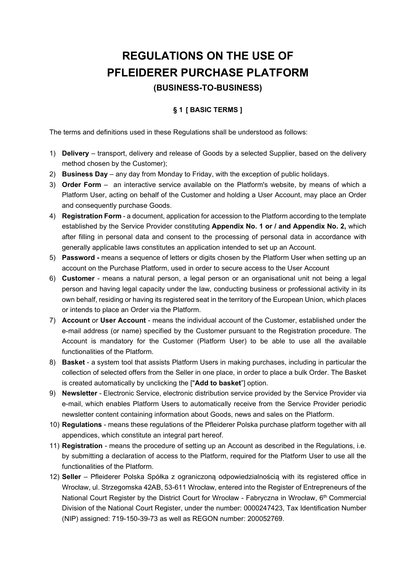# REGULATIONS ON THE USE OF PFLEIDERER PURCHASE PLATFORM (BUSINESS-TO-BUSINESS)

# § 1 [ BASIC TERMS ]

The terms and definitions used in these Regulations shall be understood as follows:

- 1) Delivery transport, delivery and release of Goods by a selected Supplier, based on the delivery method chosen by the Customer);
- 2) Business Day any day from Monday to Friday, with the exception of public holidays.
- 3) Order Form an interactive service available on the Platform's website, by means of which a Platform User, acting on behalf of the Customer and holding a User Account, may place an Order and consequently purchase Goods.
- 4) Registration Form a document, application for accession to the Platform according to the template established by the Service Provider constituting Appendix No. 1 or / and Appendix No. 2, which after filling in personal data and consent to the processing of personal data in accordance with generally applicable laws constitutes an application intended to set up an Account.
- 5) Password means a sequence of letters or digits chosen by the Platform User when setting up an account on the Purchase Platform, used in order to secure access to the User Account
- 6) Customer means a natural person, a legal person or an organisational unit not being a legal person and having legal capacity under the law, conducting business or professional activity in its own behalf, residing or having its registered seat in the territory of the European Union, which places or intends to place an Order via the Platform.
- 7) Account or User Account means the individual account of the Customer, established under the e-mail address (or name) specified by the Customer pursuant to the Registration procedure. The Account is mandatory for the Customer (Platform User) to be able to use all the available functionalities of the Platform.
- 8) Basket a system tool that assists Platform Users in making purchases, including in particular the collection of selected offers from the Seller in one place, in order to place a bulk Order. The Basket is created automatically by unclicking the ["Add to basket"] option.
- 9) Newsletter Electronic Service, electronic distribution service provided by the Service Provider via e-mail, which enables Platform Users to automatically receive from the Service Provider periodic newsletter content containing information about Goods, news and sales on the Platform.
- 10) Regulations means these regulations of the Pfleiderer Polska purchase platform together with all appendices, which constitute an integral part hereof.
- 11) Registration means the procedure of setting up an Account as described in the Regulations, i.e. by submitting a declaration of access to the Platform, required for the Platform User to use all the functionalities of the Platform.
- 12) Seller Pfleiderer Polska Spółka z ograniczoną odpowiedzialnością with its registered office in Wrocław, ul. Strzegomska 42AB, 53-611 Wrocław, entered into the Register of Entrepreneurs of the National Court Register by the District Court for Wrocław - Fabryczna in Wrocław, 6<sup>th</sup> Commercial Division of the National Court Register, under the number: 0000247423, Tax Identification Number (NIP) assigned: 719-150-39-73 as well as REGON number: 200052769.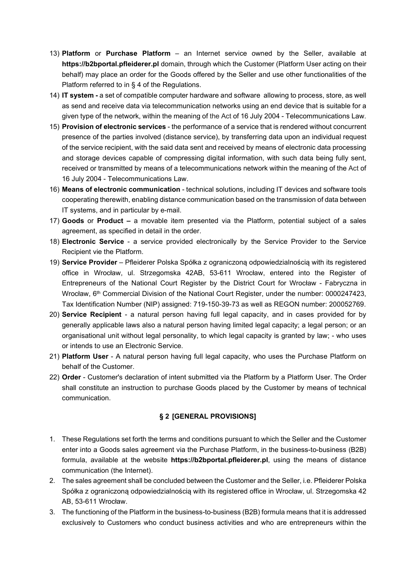- 13) Platform or Purchase Platform an Internet service owned by the Seller, available at https://b2bportal.pfleiderer.pl domain, through which the Customer (Platform User acting on their behalf) may place an order for the Goods offered by the Seller and use other functionalities of the Platform referred to in § 4 of the Regulations.
- 14) IT system a set of compatible computer hardware and software allowing to process, store, as well as send and receive data via telecommunication networks using an end device that is suitable for a given type of the network, within the meaning of the Act of 16 July 2004 - Telecommunications Law.
- 15) Provision of electronic services the performance of a service that is rendered without concurrent presence of the parties involved (distance service), by transferring data upon an individual request of the service recipient, with the said data sent and received by means of electronic data processing and storage devices capable of compressing digital information, with such data being fully sent, received or transmitted by means of a telecommunications network within the meaning of the Act of 16 July 2004 - Telecommunications Law.
- 16) Means of electronic communication technical solutions, including IT devices and software tools cooperating therewith, enabling distance communication based on the transmission of data between IT systems, and in particular by e-mail.
- 17) Goods or Product a movable item presented via the Platform, potential subject of a sales agreement, as specified in detail in the order.
- 18) Electronic Service a service provided electronically by the Service Provider to the Service Recipient vie the Platform.
- 19) Service Provider Pfleiderer Polska Spółka z ograniczoną odpowiedzialnością with its registered office in Wrocław, ul. Strzegomska 42AB, 53-611 Wrocław, entered into the Register of Entrepreneurs of the National Court Register by the District Court for Wrocław - Fabryczna in Wrocław, 6<sup>th</sup> Commercial Division of the National Court Register, under the number: 0000247423, Tax Identification Number (NIP) assigned: 719-150-39-73 as well as REGON number: 200052769.
- 20) Service Recipient a natural person having full legal capacity, and in cases provided for by generally applicable laws also a natural person having limited legal capacity; a legal person; or an organisational unit without legal personality, to which legal capacity is granted by law; - who uses or intends to use an Electronic Service.
- 21) Platform User A natural person having full legal capacity, who uses the Purchase Platform on behalf of the Customer.
- 22) Order Customer's declaration of intent submitted via the Platform by a Platform User. The Order shall constitute an instruction to purchase Goods placed by the Customer by means of technical communication.

#### § 2 [GENERAL PROVISIONS]

- 1. These Regulations set forth the terms and conditions pursuant to which the Seller and the Customer enter into a Goods sales agreement via the Purchase Platform, in the business-to-business (B2B) formula, available at the website **https://b2bportal.pfleiderer.pl**, using the means of distance communication (the Internet).
- 2. The sales agreement shall be concluded between the Customer and the Seller, i.e. Pfleiderer Polska Spółka z ograniczoną odpowiedzialnością with its registered office in Wrocław, ul. Strzegomska 42 AB, 53-611 Wrocław.
- 3. The functioning of the Platform in the business-to-business (B2B) formula means that it is addressed exclusively to Customers who conduct business activities and who are entrepreneurs within the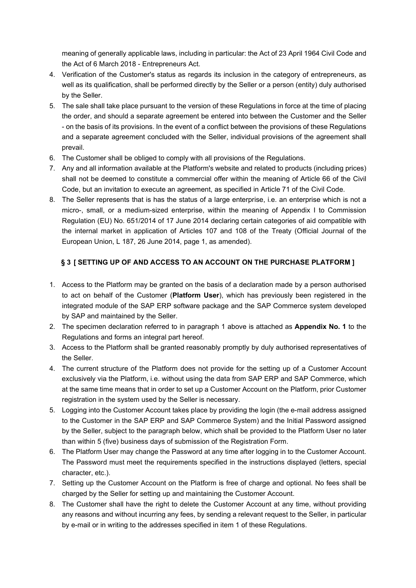meaning of generally applicable laws, including in particular: the Act of 23 April 1964 Civil Code and the Act of 6 March 2018 - Entrepreneurs Act.

- 4. Verification of the Customer's status as regards its inclusion in the category of entrepreneurs, as well as its qualification, shall be performed directly by the Seller or a person (entity) duly authorised by the Seller.
- 5. The sale shall take place pursuant to the version of these Regulations in force at the time of placing the order, and should a separate agreement be entered into between the Customer and the Seller - on the basis of its provisions. In the event of a conflict between the provisions of these Regulations and a separate agreement concluded with the Seller, individual provisions of the agreement shall prevail.
- 6. The Customer shall be obliged to comply with all provisions of the Regulations.
- 7. Any and all information available at the Platform's website and related to products (including prices) shall not be deemed to constitute a commercial offer within the meaning of Article 66 of the Civil Code, but an invitation to execute an agreement, as specified in Article 71 of the Civil Code.
- 8. The Seller represents that is has the status of a large enterprise, i.e. an enterprise which is not a micro-, small, or a medium-sized enterprise, within the meaning of Appendix I to Commission Regulation (EU) No. 651/2014 of 17 June 2014 declaring certain categories of aid compatible with the internal market in application of Articles 107 and 108 of the Treaty (Official Journal of the European Union, L 187, 26 June 2014, page 1, as amended).

# § 3 [ SETTING UP OF AND ACCESS TO AN ACCOUNT ON THE PURCHASE PLATFORM ]

- 1. Access to the Platform may be granted on the basis of a declaration made by a person authorised to act on behalf of the Customer (Platform User), which has previously been registered in the integrated module of the SAP ERP software package and the SAP Commerce system developed by SAP and maintained by the Seller.
- 2. The specimen declaration referred to in paragraph 1 above is attached as **Appendix No. 1** to the Regulations and forms an integral part hereof.
- 3. Access to the Platform shall be granted reasonably promptly by duly authorised representatives of the Seller.
- 4. The current structure of the Platform does not provide for the setting up of a Customer Account exclusively via the Platform, i.e. without using the data from SAP ERP and SAP Commerce, which at the same time means that in order to set up a Customer Account on the Platform, prior Customer registration in the system used by the Seller is necessary.
- 5. Logging into the Customer Account takes place by providing the login (the e-mail address assigned to the Customer in the SAP ERP and SAP Commerce System) and the Initial Password assigned by the Seller, subject to the paragraph below, which shall be provided to the Platform User no later than within 5 (five) business days of submission of the Registration Form.
- 6. The Platform User may change the Password at any time after logging in to the Customer Account. The Password must meet the requirements specified in the instructions displayed (letters, special character, etc.).
- 7. Setting up the Customer Account on the Platform is free of charge and optional. No fees shall be charged by the Seller for setting up and maintaining the Customer Account.
- 8. The Customer shall have the right to delete the Customer Account at any time, without providing any reasons and without incurring any fees, by sending a relevant request to the Seller, in particular by e-mail or in writing to the addresses specified in item 1 of these Regulations.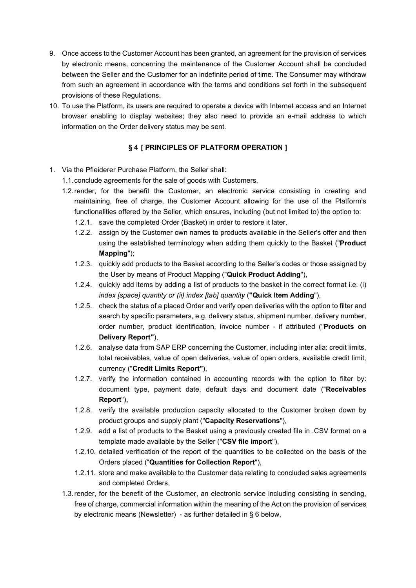- 9. Once access to the Customer Account has been granted, an agreement for the provision of services by electronic means, concerning the maintenance of the Customer Account shall be concluded between the Seller and the Customer for an indefinite period of time. The Consumer may withdraw from such an agreement in accordance with the terms and conditions set forth in the subsequent provisions of these Regulations.
- 10. To use the Platform, its users are required to operate a device with Internet access and an Internet browser enabling to display websites; they also need to provide an e-mail address to which information on the Order delivery status may be sent.

# § 4 [ PRINCIPLES OF PLATFORM OPERATION ]

- 1. Via the Pfleiderer Purchase Platform, the Seller shall:
	- 1.1. conclude agreements for the sale of goods with Customers,
	- 1.2. render, for the benefit the Customer, an electronic service consisting in creating and maintaining, free of charge, the Customer Account allowing for the use of the Platform's functionalities offered by the Seller, which ensures, including (but not limited to) the option to:
		- 1.2.1. save the completed Order (Basket) in order to restore it later,
		- 1.2.2. assign by the Customer own names to products available in the Seller's offer and then using the established terminology when adding them quickly to the Basket ("Product Mapping");
		- 1.2.3. quickly add products to the Basket according to the Seller's codes or those assigned by the User by means of Product Mapping ("Quick Product Adding"),
		- 1.2.4. quickly add items by adding a list of products to the basket in the correct format i.e. (i) index [space] quantity or (ii) index [tab] quantity ("Quick Item Adding"),
		- 1.2.5. check the status of a placed Order and verify open deliveries with the option to filter and search by specific parameters, e.g. delivery status, shipment number, delivery number, order number, product identification, invoice number - if attributed ("Products on Delivery Report"),
		- 1.2.6. analyse data from SAP ERP concerning the Customer, including inter alia: credit limits, total receivables, value of open deliveries, value of open orders, available credit limit, currency ("Credit Limits Report"),
		- 1.2.7. verify the information contained in accounting records with the option to filter by: document type, payment date, default days and document date ("Receivables Report"),
		- 1.2.8. verify the available production capacity allocated to the Customer broken down by product groups and supply plant ("Capacity Reservations"),
		- 1.2.9. add a list of products to the Basket using a previously created file in .CSV format on a template made available by the Seller ("CSV file import"),
		- 1.2.10. detailed verification of the report of the quantities to be collected on the basis of the Orders placed ("Quantities for Collection Report"),
		- 1.2.11. store and make available to the Customer data relating to concluded sales agreements and completed Orders,
	- 1.3. render, for the benefit of the Customer, an electronic service including consisting in sending, free of charge, commercial information within the meaning of the Act on the provision of services by electronic means (Newsletter) - as further detailed in § 6 below,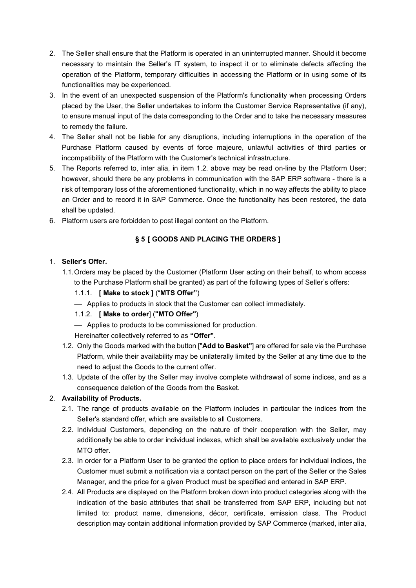- 2. The Seller shall ensure that the Platform is operated in an uninterrupted manner. Should it become necessary to maintain the Seller's IT system, to inspect it or to eliminate defects affecting the operation of the Platform, temporary difficulties in accessing the Platform or in using some of its functionalities may be experienced.
- 3. In the event of an unexpected suspension of the Platform's functionality when processing Orders placed by the User, the Seller undertakes to inform the Customer Service Representative (if any), to ensure manual input of the data corresponding to the Order and to take the necessary measures to remedy the failure.
- 4. The Seller shall not be liable for any disruptions, including interruptions in the operation of the Purchase Platform caused by events of force majeure, unlawful activities of third parties or incompatibility of the Platform with the Customer's technical infrastructure.
- 5. The Reports referred to, inter alia, in item 1.2. above may be read on-line by the Platform User; however, should there be any problems in communication with the SAP ERP software - there is a risk of temporary loss of the aforementioned functionality, which in no way affects the ability to place an Order and to record it in SAP Commerce. Once the functionality has been restored, the data shall be updated.
- 6. Platform users are forbidden to post illegal content on the Platform.

# § 5 [ GOODS AND PLACING THE ORDERS ]

#### 1. Seller's Offer.

- 1.1. Orders may be placed by the Customer (Platform User acting on their behalf, to whom access to the Purchase Platform shall be granted) as part of the following types of Seller's offers:
	- 1.1.1. [ Make to stock ] ("MTS Offer")
	- Applies to products in stock that the Customer can collect immediately.

# 1.1.2. [ Make to order] ("MTO Offer")

Applies to products to be commissioned for production.

Hereinafter collectively referred to as "Offer".

- 1.2. Only the Goods marked with the button ["Add to Basket"] are offered for sale via the Purchase Platform, while their availability may be unilaterally limited by the Seller at any time due to the need to adjust the Goods to the current offer.
- 1.3. Update of the offer by the Seller may involve complete withdrawal of some indices, and as a consequence deletion of the Goods from the Basket.

# 2. Availability of Products.

- 2.1. The range of products available on the Platform includes in particular the indices from the Seller's standard offer, which are available to all Customers.
- 2.2. Individual Customers, depending on the nature of their cooperation with the Seller, may additionally be able to order individual indexes, which shall be available exclusively under the MTO offer.
- 2.3. In order for a Platform User to be granted the option to place orders for individual indices, the Customer must submit a notification via a contact person on the part of the Seller or the Sales Manager, and the price for a given Product must be specified and entered in SAP ERP.
- 2.4. All Products are displayed on the Platform broken down into product categories along with the indication of the basic attributes that shall be transferred from SAP ERP, including but not limited to: product name, dimensions, décor, certificate, emission class. The Product description may contain additional information provided by SAP Commerce (marked, inter alia,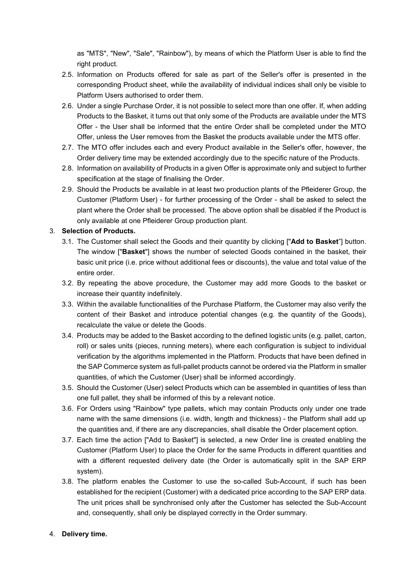as "MTS", "New", "Sale", "Rainbow"), by means of which the Platform User is able to find the right product.

- 2.5. Information on Products offered for sale as part of the Seller's offer is presented in the corresponding Product sheet, while the availability of individual indices shall only be visible to Platform Users authorised to order them.
- 2.6. Under a single Purchase Order, it is not possible to select more than one offer. If, when adding Products to the Basket, it turns out that only some of the Products are available under the MTS Offer - the User shall be informed that the entire Order shall be completed under the MTO Offer, unless the User removes from the Basket the products available under the MTS offer.
- 2.7. The MTO offer includes each and every Product available in the Seller's offer, however, the Order delivery time may be extended accordingly due to the specific nature of the Products.
- 2.8. Information on availability of Products in a given Offer is approximate only and subject to further specification at the stage of finalising the Order.
- 2.9. Should the Products be available in at least two production plants of the Pfleiderer Group, the Customer (Platform User) - for further processing of the Order - shall be asked to select the plant where the Order shall be processed. The above option shall be disabled if the Product is only available at one Pfleiderer Group production plant.

#### 3. Selection of Products.

- 3.1. The Customer shall select the Goods and their quantity by clicking ["Add to Basket"] button. The window ["Basket"] shows the number of selected Goods contained in the basket, their basic unit price (i.e. price without additional fees or discounts), the value and total value of the entire order.
- 3.2. By repeating the above procedure, the Customer may add more Goods to the basket or increase their quantity indefinitely.
- 3.3. Within the available functionalities of the Purchase Platform, the Customer may also verify the content of their Basket and introduce potential changes (e.g. the quantity of the Goods), recalculate the value or delete the Goods.
- 3.4. Products may be added to the Basket according to the defined logistic units (e.g. pallet, carton, roll) or sales units (pieces, running meters), where each configuration is subject to individual verification by the algorithms implemented in the Platform. Products that have been defined in the SAP Commerce system as full-pallet products cannot be ordered via the Platform in smaller quantities, of which the Customer (User) shall be informed accordingly.
- 3.5. Should the Customer (User) select Products which can be assembled in quantities of less than one full pallet, they shall be informed of this by a relevant notice.
- 3.6. For Orders using "Rainbow" type pallets, which may contain Products only under one trade name with the same dimensions (i.e. width, length and thickness) - the Platform shall add up the quantities and, if there are any discrepancies, shall disable the Order placement option.
- 3.7. Each time the action ["Add to Basket"] is selected, a new Order line is created enabling the Customer (Platform User) to place the Order for the same Products in different quantities and with a different requested delivery date (the Order is automatically split in the SAP ERP system).
- 3.8. The platform enables the Customer to use the so-called Sub-Account, if such has been established for the recipient (Customer) with a dedicated price according to the SAP ERP data. The unit prices shall be synchronised only after the Customer has selected the Sub-Account and, consequently, shall only be displayed correctly in the Order summary.

#### 4. Delivery time.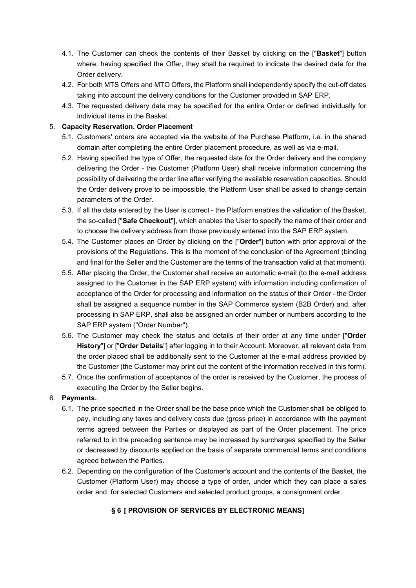- 4.1. The Customer can check the contents of their Basket by clicking on the ["Basket"] button where, having specified the Offer, they shall be required to indicate the desired date for the Order delivery.
- 4.2. For both MTS Offers and MTO Offers, the Platform shall independently specify the cut-off dates taking into account the delivery conditions for the Customer provided in SAP ERP.
- 4.3. The requested delivery date may be specified for the entire Order or defined individually for individual items in the Basket.

# 5. Capacity Reservation. Order Placement

- 5.1. Customers' orders are accepted via the website of the Purchase Platform, i.e. in the shared domain after completing the entire Order placement procedure, as well as via e-mail.
- 5.2. Having specified the type of Offer, the requested date for the Order delivery and the company delivering the Order - the Customer (Platform User) shall receive information concerning the possibility of delivering the order line after verifying the available reservation capacities. Should the Order delivery prove to be impossible, the Platform User shall be asked to change certain parameters of the Order.
- 5.3. If all the data entered by the User is correct the Platform enables the validation of the Basket, the so-called ["Safe Checkout"], which enables the User to specify the name of their order and to choose the delivery address from those previously entered into the SAP ERP system.
- 5.4. The Customer places an Order by clicking on the ["Order"] button with prior approval of the provisions of the Regulations. This is the moment of the conclusion of the Agreement (binding and final for the Seller and the Customer are the terms of the transaction valid at that moment).
- 5.5. After placing the Order, the Customer shall receive an automatic e-mail (to the e-mail address assigned to the Customer in the SAP ERP system) with information including confirmation of acceptance of the Order for processing and information on the status of their Order - the Order shall be assigned a sequence number in the SAP Commerce system (B2B Order) and, after processing in SAP ERP, shall also be assigned an order number or numbers according to the SAP ERP system ("Order Number").
- 5.6. The Customer may check the status and details of their order at any time under ["Order" History"] or ["Order Details"] after logging in to their Account. Moreover, all relevant data from the order placed shall be additionally sent to the Customer at the e-mail address provided by the Customer (the Customer may print out the content of the information received in this form).
- 5.7. Once the confirmation of acceptance of the order is received by the Customer, the process of executing the Order by the Seller begins.

# 6. Payments.

- 6.1. The price specified in the Order shall be the base price which the Customer shall be obliged to pay, including any taxes and delivery costs due (gross price) in accordance with the payment terms agreed between the Parties or displayed as part of the Order placement. The price referred to in the preceding sentence may be increased by surcharges specified by the Seller or decreased by discounts applied on the basis of separate commercial terms and conditions agreed between the Parties.
- 6.2. Depending on the configuration of the Customer's account and the contents of the Basket, the Customer (Platform User) may choose a type of order, under which they can place a sales order and, for selected Customers and selected product groups, a consignment order.

# § 6 [ PROVISION OF SERVICES BY ELECTRONIC MEANS]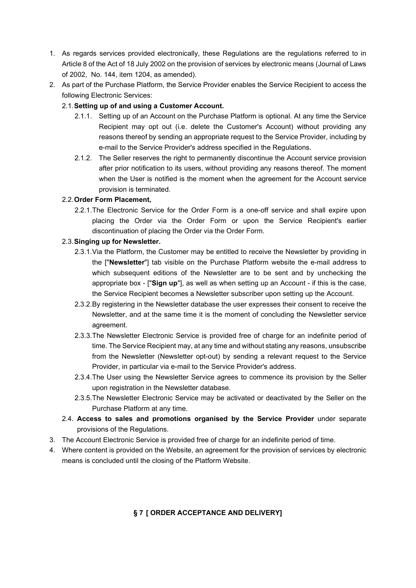- 1. As regards services provided electronically, these Regulations are the regulations referred to in Article 8 of the Act of 18 July 2002 on the provision of services by electronic means (Journal of Laws of 2002, No. 144, item 1204, as amended).
- 2. As part of the Purchase Platform, the Service Provider enables the Service Recipient to access the following Electronic Services:

# 2.1. Setting up of and using a Customer Account.

- 2.1.1. Setting up of an Account on the Purchase Platform is optional. At any time the Service Recipient may opt out (i.e. delete the Customer's Account) without providing any reasons thereof by sending an appropriate request to the Service Provider, including by e-mail to the Service Provider's address specified in the Regulations.
- 2.1.2. The Seller reserves the right to permanently discontinue the Account service provision after prior notification to its users, without providing any reasons thereof. The moment when the User is notified is the moment when the agreement for the Account service provision is terminated.

#### 2.2. Order Form Placement,

2.2.1. The Electronic Service for the Order Form is a one-off service and shall expire upon placing the Order via the Order Form or upon the Service Recipient's earlier discontinuation of placing the Order via the Order Form.

#### 2.3. Singing up for Newsletter.

- 2.3.1. Via the Platform, the Customer may be entitled to receive the Newsletter by providing in the ["Newsletter"] tab visible on the Purchase Platform website the e-mail address to which subsequent editions of the Newsletter are to be sent and by unchecking the appropriate box - ["Sign up"], as well as when setting up an Account - if this is the case, the Service Recipient becomes a Newsletter subscriber upon setting up the Account.
- 2.3.2. By registering in the Newsletter database the user expresses their consent to receive the Newsletter, and at the same time it is the moment of concluding the Newsletter service agreement.
- 2.3.3. The Newsletter Electronic Service is provided free of charge for an indefinite period of time. The Service Recipient may, at any time and without stating any reasons, unsubscribe from the Newsletter (Newsletter opt-out) by sending a relevant request to the Service Provider, in particular via e-mail to the Service Provider's address.
- 2.3.4. The User using the Newsletter Service agrees to commence its provision by the Seller upon registration in the Newsletter database.
- 2.3.5. The Newsletter Electronic Service may be activated or deactivated by the Seller on the Purchase Platform at any time.
- 2.4. Access to sales and promotions organised by the Service Provider under separate provisions of the Regulations.
- 3. The Account Electronic Service is provided free of charge for an indefinite period of time.
- 4. Where content is provided on the Website, an agreement for the provision of services by electronic means is concluded until the closing of the Platform Website.

# § 7 [ ORDER ACCEPTANCE AND DELIVERY]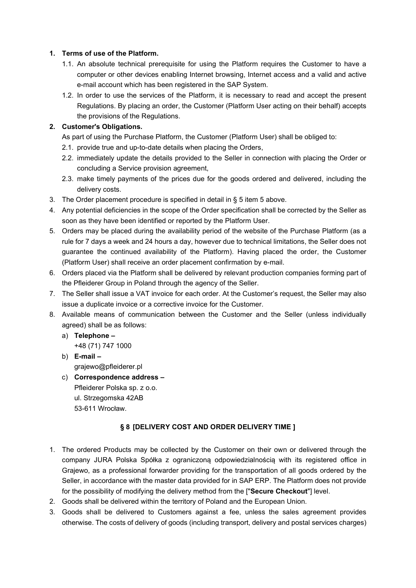#### 1. Terms of use of the Platform.

- 1.1. An absolute technical prerequisite for using the Platform requires the Customer to have a computer or other devices enabling Internet browsing, Internet access and a valid and active e-mail account which has been registered in the SAP System.
- 1.2. In order to use the services of the Platform, it is necessary to read and accept the present Regulations. By placing an order, the Customer (Platform User acting on their behalf) accepts the provisions of the Regulations.

# 2. Customer's Obligations.

As part of using the Purchase Platform, the Customer (Platform User) shall be obliged to:

- 2.1. provide true and up-to-date details when placing the Orders,
- 2.2. immediately update the details provided to the Seller in connection with placing the Order or concluding a Service provision agreement,
- 2.3. make timely payments of the prices due for the goods ordered and delivered, including the delivery costs.
- 3. The Order placement procedure is specified in detail in § 5 item 5 above.
- 4. Any potential deficiencies in the scope of the Order specification shall be corrected by the Seller as soon as they have been identified or reported by the Platform User.
- 5. Orders may be placed during the availability period of the website of the Purchase Platform (as a rule for 7 days a week and 24 hours a day, however due to technical limitations, the Seller does not guarantee the continued availability of the Platform). Having placed the order, the Customer (Platform User) shall receive an order placement confirmation by e-mail.
- 6. Orders placed via the Platform shall be delivered by relevant production companies forming part of the Pfleiderer Group in Poland through the agency of the Seller.
- 7. The Seller shall issue a VAT invoice for each order. At the Customer's request, the Seller may also issue a duplicate invoice or a corrective invoice for the Customer.
- 8. Available means of communication between the Customer and the Seller (unless individually agreed) shall be as follows:
	- a) Telephone +48 (71) 747 1000
	- b) E-mail grajewo@pfleiderer.pl
	- c) Correspondence address Pfleiderer Polska sp. z o.o. ul. Strzegomska 42AB 53-611 Wrocław.

# § 8 [DELIVERY COST AND ORDER DELIVERY TIME ]

- 1. The ordered Products may be collected by the Customer on their own or delivered through the company JURA Polska Spółka z ograniczoną odpowiedzialnością with its registered office in Grajewo, as a professional forwarder providing for the transportation of all goods ordered by the Seller, in accordance with the master data provided for in SAP ERP. The Platform does not provide for the possibility of modifying the delivery method from the ["Secure Checkout"] level.
- 2. Goods shall be delivered within the territory of Poland and the European Union.
- 3. Goods shall be delivered to Customers against a fee, unless the sales agreement provides otherwise. The costs of delivery of goods (including transport, delivery and postal services charges)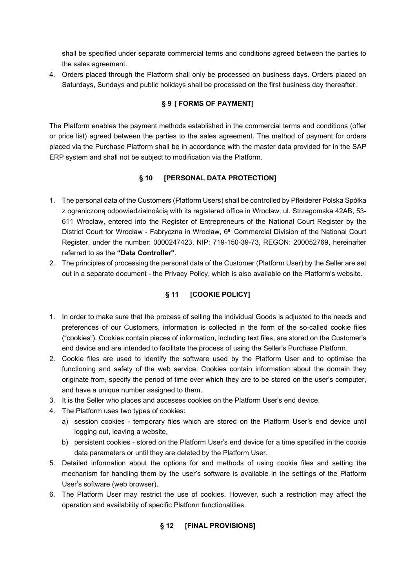shall be specified under separate commercial terms and conditions agreed between the parties to the sales agreement.

4. Orders placed through the Platform shall only be processed on business days. Orders placed on Saturdays, Sundays and public holidays shall be processed on the first business day thereafter.

# § 9 [ FORMS OF PAYMENT]

The Platform enables the payment methods established in the commercial terms and conditions (offer or price list) agreed between the parties to the sales agreement. The method of payment for orders placed via the Purchase Platform shall be in accordance with the master data provided for in the SAP ERP system and shall not be subject to modification via the Platform.

# § 10 [PERSONAL DATA PROTECTION]

- 1. The personal data of the Customers (Platform Users) shall be controlled by Pfleiderer Polska Spółka z ograniczoną odpowiedzialnością with its registered office in Wrocław, ul. Strzegomska 42AB, 53- 611 Wrocław, entered into the Register of Entrepreneurs of the National Court Register by the District Court for Wrocław - Fabryczna in Wrocław, 6<sup>th</sup> Commercial Division of the National Court Register, under the number: 0000247423, NIP: 719-150-39-73, REGON: 200052769, hereinafter referred to as the "Data Controller".
- 2. The principles of processing the personal data of the Customer (Platform User) by the Seller are set out in a separate document - the Privacy Policy, which is also available on the Platform's website.

# § 11 **[COOKIE POLICY]**

- 1. In order to make sure that the process of selling the individual Goods is adjusted to the needs and preferences of our Customers, information is collected in the form of the so-called cookie files ("cookies"). Cookies contain pieces of information, including text files, are stored on the Customer's end device and are intended to facilitate the process of using the Seller's Purchase Platform.
- 2. Cookie files are used to identify the software used by the Platform User and to optimise the functioning and safety of the web service. Cookies contain information about the domain they originate from, specify the period of time over which they are to be stored on the user's computer, and have a unique number assigned to them.
- 3. It is the Seller who places and accesses cookies on the Platform User's end device.
- 4. The Platform uses two types of cookies:
	- a) session cookies temporary files which are stored on the Platform User's end device until logging out, leaving a website,
	- b) persistent cookies stored on the Platform User's end device for a time specified in the cookie data parameters or until they are deleted by the Platform User.
- 5. Detailed information about the options for and methods of using cookie files and setting the mechanism for handling them by the user's software is available in the settings of the Platform User's software (web browser).
- 6. The Platform User may restrict the use of cookies. However, such a restriction may affect the operation and availability of specific Platform functionalities.

# § 12 [FINAL PROVISIONS]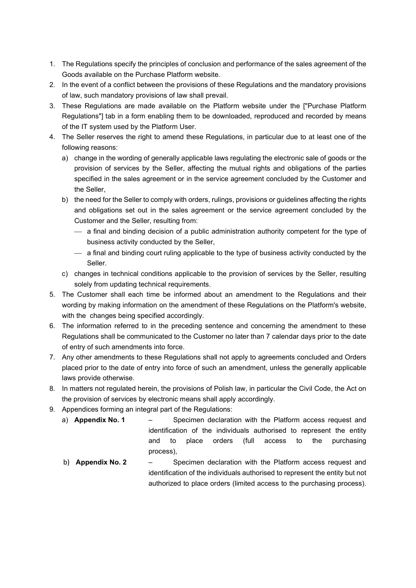- 1. The Regulations specify the principles of conclusion and performance of the sales agreement of the Goods available on the Purchase Platform website.
- 2. In the event of a conflict between the provisions of these Regulations and the mandatory provisions of law, such mandatory provisions of law shall prevail.
- 3. These Regulations are made available on the Platform website under the ["Purchase Platform Regulations"] tab in a form enabling them to be downloaded, reproduced and recorded by means of the IT system used by the Platform User.
- 4. The Seller reserves the right to amend these Regulations, in particular due to at least one of the following reasons:
	- a) change in the wording of generally applicable laws regulating the electronic sale of goods or the provision of services by the Seller, affecting the mutual rights and obligations of the parties specified in the sales agreement or in the service agreement concluded by the Customer and the Seller,
	- b) the need for the Seller to comply with orders, rulings, provisions or guidelines affecting the rights and obligations set out in the sales agreement or the service agreement concluded by the Customer and the Seller, resulting from:
		- a final and binding decision of a public administration authority competent for the type of business activity conducted by the Seller,
		- a final and binding court ruling applicable to the type of business activity conducted by the Seller.
	- c) changes in technical conditions applicable to the provision of services by the Seller, resulting solely from updating technical requirements.
- 5. The Customer shall each time be informed about an amendment to the Regulations and their wording by making information on the amendment of these Regulations on the Platform's website, with the changes being specified accordingly.
- 6. The information referred to in the preceding sentence and concerning the amendment to these Regulations shall be communicated to the Customer no later than 7 calendar days prior to the date of entry of such amendments into force.
- 7. Any other amendments to these Regulations shall not apply to agreements concluded and Orders placed prior to the date of entry into force of such an amendment, unless the generally applicable laws provide otherwise.
- 8. In matters not regulated herein, the provisions of Polish law, in particular the Civil Code, the Act on the provision of services by electronic means shall apply accordingly.
- 9. Appendices forming an integral part of the Regulations:
	- a) **Appendix No. 1** Specimen declaration with the Platform access request and identification of the individuals authorised to represent the entity and to place orders (full access to the purchasing process),
	- b) **Appendix No. 2** Specimen declaration with the Platform access request and identification of the individuals authorised to represent the entity but not authorized to place orders (limited access to the purchasing process).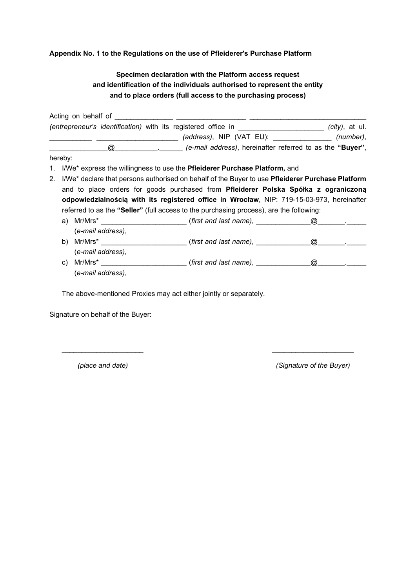#### Appendix No. 1 to the Regulations on the use of Pfleiderer's Purchase Platform

# Specimen declaration with the Platform access request and identification of the individuals authorised to represent the entity and to place orders (full access to the purchasing process)

Acting on behalf of \_\_\_\_\_\_\_ (entrepreneur's identification) with its registered office in the same many cases (city), at ul. \_\_\_\_\_\_\_\_\_\_\_ \_\_\_\_\_\_\_\_\_\_\_\_\_\_\_\_\_\_\_\_\_ (address), NIP (VAT EU): \_\_\_\_\_\_\_\_\_\_\_\_\_\_\_ (number), @ \_\_\_\_\_\_\_\_\_\_\_\_\_\_\_\_\_\_ (e-mail address), hereinafter referred to as the "Buyer", hereby: 1. I/We\* express the willingness to use the Pfleiderer Purchase Platform, and 2. I/We<sup>\*</sup> declare that persons authorised on behalf of the Buyer to use Pfleiderer Purchase Platform and to place orders for goods purchased from Pfleiderer Polska Spółka z ograniczoną odpowiedzialnością with its registered office in Wrocław, NIP: 719-15-03-973, hereinafter

referred to as the "Seller" (full access to the purchasing process), are the following:

- a) Mr/Mrs\* \_\_\_\_\_\_\_\_\_\_\_\_\_\_\_\_\_\_\_\_\_\_ (first and last name), \_\_\_\_\_\_\_\_\_\_\_\_\_\_@\_\_\_\_\_\_\_.\_\_\_\_\_ (e-mail address), b) Mr/Mrs\* \_\_\_\_\_\_\_\_\_\_\_\_\_\_\_\_\_\_\_\_\_\_ (first and last name), \_\_\_\_\_\_\_\_\_\_\_\_\_\_@\_\_\_\_\_\_\_.\_\_\_\_\_
- (e-mail address),
- c) Mr/Mrs\* \_\_\_\_\_\_\_\_\_\_\_\_\_\_\_\_\_\_\_\_\_\_ (first and last name), \_\_\_\_\_\_\_\_\_\_\_\_\_\_@\_\_\_\_\_\_\_.\_\_\_\_\_ (e-mail address),

 $\overline{\phantom{a}}$  , and the contract of the contract of the contract of the contract of the contract of the contract of the contract of the contract of the contract of the contract of the contract of the contract of the contrac

The above-mentioned Proxies may act either jointly or separately.

Signature on behalf of the Buyer:

(place and date) (Signature of the Buyer)